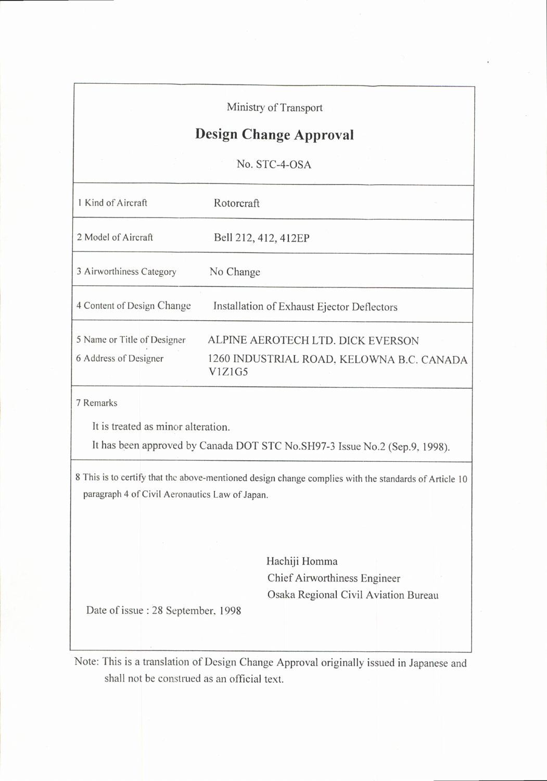| Ministry of Transport                                                                                                                                   |
|---------------------------------------------------------------------------------------------------------------------------------------------------------|
| <b>Design Change Approval</b>                                                                                                                           |
| No. STC-4-OSA                                                                                                                                           |
| 1 Kind of Aircraft<br>Rotorcraft                                                                                                                        |
| 2 Model of Aircraft<br>Bell 212, 412, 412EP                                                                                                             |
| 3 Airworthiness Category<br>No Change                                                                                                                   |
| 4 Content of Design Change<br>Installation of Exhaust Ejector Deflectors                                                                                |
| 5 Name or Title of Designer<br>ALPINE AEROTECH LTD. DICK EVERSON<br>6 Address of Designer<br>1260 INDUSTRIAL ROAD, KELOWNA B.C. CANADA<br>V1Z1G5        |
| 7 Remarks<br>It is treated as minor alteration.<br>It has been approved by Canada DOT STC No.SH97-3 Issue No.2 (Sep.9, 1998).                           |
| 8 This is to certify that the above-mentioned design change complies with the standards of Article 10<br>paragraph 4 of Civil Aeronautics Law of Japan. |
| Hachiji Homma<br>Chief Airworthiness Engineer<br>Osaka Regional Civil Aviation Bureau<br>Date of issue: 28 September, 1998                              |
| Note: This is a translation of Design Change Approval originally issued in Japanese and                                                                 |
| shall not be construed as an official text.                                                                                                             |